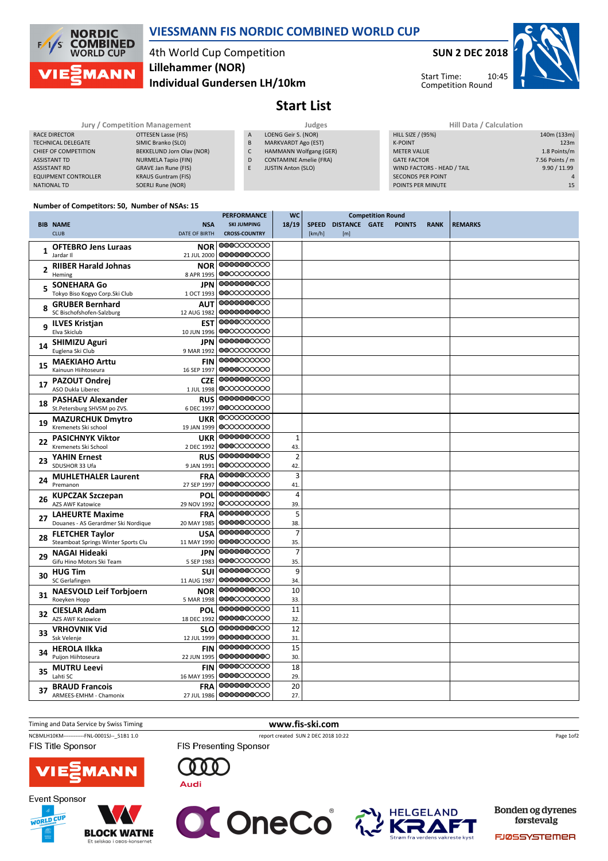

## VIESSMANN FIS NORDIC COMBINED WORLD CUP

# 4th World Cup Competition Individual Gundersen LH/10km Lillehammer (NOR)

SUN 2 DEC 2018



Start Time: Competition Round

#### Jury / Competition Management **Management** Judges Judges Hill Data / Calculation RACE DIRECTOR **OTTESEN Lasse (FIS)** TECHNICAL DELEGATE SIMIC Branko (SLO) CHIEF OF COMPETITION BEKKELUND Jorn Olav (NOR) ASSISTANT TD NURMELA Tapio (FIN) ASSISTANT RD GRAVE Jan Rune (FIS) EQUIPMENT CONTROLLER KRAUS Guntram (FIS) NATIONAL TD SOERLI Rune (NOR) A LOENG Geir S. (NOR) B MARKVARDT Ago (EST) C HAMMANN Wolfgang (GER) D CONTAMINE Amelie (FRA) E JUSTIN Anton (SLO) HILL SIZE / (95%) 140m (133m) K-POINT **123m** METER VALUE 1.8 Points/m GATE FACTOR **6 GATE** FACTOR **7.56 Points / m** WIND FACTORS - HEAD / TAIL 9.90 / 11.99 SECONDS PER POINT 1999 AND 1999 AND 1999 AND 1999 AND 1999 AND 1999 AND 1999 AND 1999 AND 1999 AND 1999 AND 19<br>1999 AND 1999 AND 1999 AND 1999 AND 1999 AND 1999 AND 1999 AND 1999 AND 1999 AND 1999 AND 1999 AND 1999 AND 19 POINTS PER MINUTE

Start List

## Number of Competitors: 50, Number of NSAs: 15

|                |                                                                           | <b>PERFORMANCE</b>       | <b>WC</b><br><b>Competition Round</b> |        |                     |  |               |             |                |
|----------------|---------------------------------------------------------------------------|--------------------------|---------------------------------------|--------|---------------------|--|---------------|-------------|----------------|
|                | <b>BIB NAME</b><br><b>NSA</b>                                             | <b>SKI JUMPING</b>       | 18/19                                 |        | SPEED DISTANCE GATE |  | <b>POINTS</b> | <b>RANK</b> | <b>REMARKS</b> |
|                | <b>CLUB</b><br>DATE OF BIRTH                                              | <b>CROSS-COUNTRY</b>     |                                       | [km/h] | [m]                 |  |               |             |                |
| $\mathbf{1}$   | <b>OFTEBRO Jens Luraas</b><br><b>NOR</b>                                  | 0000000000               |                                       |        |                     |  |               |             |                |
|                | Jardar II<br>21 JUL 2000                                                  | 0000000000               |                                       |        |                     |  |               |             |                |
| $\overline{2}$ | <b>RIIBER Harald Johnas</b><br><b>NOR</b>                                 | 0000000000               |                                       |        |                     |  |               |             |                |
|                | Heming<br>8 APR 1995                                                      | 0000000000               |                                       |        |                     |  |               |             |                |
| 5              | <b>SONEHARA Go</b><br><b>JPN</b>                                          | 0000000000               |                                       |        |                     |  |               |             |                |
|                | Tokyo Biso Kogyo Corp.Ski Club<br>1 OCT 1993                              | 0000000000               |                                       |        |                     |  |               |             |                |
| 8              | <b>GRUBER Bernhard</b><br><b>AUT</b>                                      | 0000000000               |                                       |        |                     |  |               |             |                |
|                | SC Bischofshofen-Salzburg<br>12 AUG 1982                                  | 0000000000               |                                       |        |                     |  |               |             |                |
| 9              | <b>ILVES Kristjan</b><br><b>EST</b>                                       | 0000000000<br>0000000000 |                                       |        |                     |  |               |             |                |
|                | Elva Skiclub<br>10 JUN 1996                                               | 0000000000               |                                       |        |                     |  |               |             |                |
| 14             | <b>SHIMIZU Aguri</b><br><b>JPN</b>                                        | 0000000000               |                                       |        |                     |  |               |             |                |
|                | Euglena Ski Club<br>9 MAR 1992                                            | 0000000000               |                                       |        |                     |  |               |             |                |
| 15             | <b>FIN</b><br><b>MAEKIAHO Arttu</b><br>Kainuun Hiihtoseura<br>16 SEP 1997 | 0000000000               |                                       |        |                     |  |               |             |                |
|                |                                                                           | 0000000000               |                                       |        |                     |  |               |             |                |
| 17             | <b>CZE</b><br><b>PAZOUT Ondrei</b><br>ASO Dukla Liberec<br>1 JUL 1998     | 0000000000               |                                       |        |                     |  |               |             |                |
|                | <b>RUS</b>                                                                | 0000000000               |                                       |        |                     |  |               |             |                |
| 18             | <b>PASHAEV Alexander</b><br>St.Petersburg SHVSM po ZVS.<br>6 DEC 1997     | 0000000000               |                                       |        |                     |  |               |             |                |
|                | <b>MAZURCHUK Dmytro</b><br><b>UKR</b>                                     | 0000000000               |                                       |        |                     |  |               |             |                |
| 19             | Kremenets Ski school<br>19 JAN 1999                                       | 0000000000               |                                       |        |                     |  |               |             |                |
|                | <b>PASICHNYK Viktor</b><br><b>UKR</b>                                     | 0000000000               | $\mathbf{1}$                          |        |                     |  |               |             |                |
| 22             | Kremenets Ski School<br>2 DEC 1992                                        | 0000000000               | 43.                                   |        |                     |  |               |             |                |
|                | <b>YAHIN Ernest</b><br><b>RUS</b>                                         | 0000000000               | $\overline{2}$                        |        |                     |  |               |             |                |
| 23             | SDUSHOR 33 Ufa<br>9 JAN 1991                                              | 0000000000               | 42.                                   |        |                     |  |               |             |                |
|                | <b>MUHLETHALER Laurent</b><br><b>FRA</b>                                  | 0000000000               | 3                                     |        |                     |  |               |             |                |
| 24             | Premanon<br>27 SEP 1997                                                   | 0000000000               | 41.                                   |        |                     |  |               |             |                |
|                | <b>KUPCZAK Szczepan</b><br>POL                                            | 0000000000               | $\overline{4}$                        |        |                     |  |               |             |                |
| 26             | <b>AZS AWF Katowice</b><br>29 NOV 1992                                    | 0000000000               | 39.                                   |        |                     |  |               |             |                |
| 27             | <b>LAHEURTE Maxime</b><br><b>FRA</b>                                      | 0000000000               | 5                                     |        |                     |  |               |             |                |
|                | Douanes - AS Gerardmer Ski Nordique<br>20 MAY 1985                        | 0000000000               | 38.                                   |        |                     |  |               |             |                |
| 28             | <b>FLETCHER Taylor</b><br><b>USA</b>                                      | 0000000000               | $\overline{7}$                        |        |                     |  |               |             |                |
|                | Steamboat Springs Winter Sports Clu<br>11 MAY 1990                        | 0000000000               | 35.                                   |        |                     |  |               |             |                |
| 29             | NAGAI Hideaki<br>JPN                                                      | 0000000000               | $\overline{7}$                        |        |                     |  |               |             |                |
|                | Gifu Hino Motors Ski Team<br>5 SEP 1983                                   | 0000000000               | 35.                                   |        |                     |  |               |             |                |
| 30             | <b>HUG Tim</b><br>sui                                                     | 0000000000               | 9                                     |        |                     |  |               |             |                |
|                | SC Gerlafingen<br>11 AUG 1987                                             | 0000000000               | 34.                                   |        |                     |  |               |             |                |
| 31             | <b>NAESVOLD Leif Torbjoern</b><br><b>NOR</b>                              | 0000000000               | 10                                    |        |                     |  |               |             |                |
|                | Roeyken Hopp<br>5 MAR 1998                                                | 0000000000               | 33.                                   |        |                     |  |               |             |                |
| 32             | <b>CIESLAR Adam</b><br><b>POL</b><br><b>AZS AWF Katowice</b>              | 0000000000<br>0000000000 | 11<br>32.                             |        |                     |  |               |             |                |
|                | 18 DEC 1992                                                               | 0000000000               |                                       |        |                     |  |               |             |                |
| 33             | <b>VRHOVNIK Vid</b><br><b>SLO</b><br>Ssk Velenje<br>12 JUL 1999           | 0000000000               | 12<br>31.                             |        |                     |  |               |             |                |
|                |                                                                           | 0000000000               | 15                                    |        |                     |  |               |             |                |
| 34             | <b>HEROLA Ilkka</b><br><b>FIN</b><br>Puijon Hiihtoseura<br>22 JUN 1995    | 0000000000               | 30.                                   |        |                     |  |               |             |                |
|                | <b>FIN</b><br><b>MUTRU Leevi</b>                                          | 0000000000               | 18                                    |        |                     |  |               |             |                |
| 35             | Lahti SC<br>16 MAY 1995                                                   | 0000000000               | 29.                                   |        |                     |  |               |             |                |
|                | <b>BRAUD Francois</b><br><b>FRA</b>                                       | 0000000000               | 20                                    |        |                     |  |               |             |                |
| 37             | ARMEES-EMHM - Chamonix                                                    | 27 JUL 1986   0000000000 | 27.                                   |        |                     |  |               |             |                |

#### Timing and Data Service by Swiss Timing **www.fis-ski.com**

NCBMLH10KM------------FNL-0001SJ--\_51B1 1.0 report created SUN 2 DEC 2018 10:22 **FIS Title Sponsor** 

**FIS Presenting Sponsor** 

Page 1of2









 $0<sub>0</sub>$ 0

**Audi** 



**Bonden og dyrenes** førstevalg

**FJØSSYSTEMER**